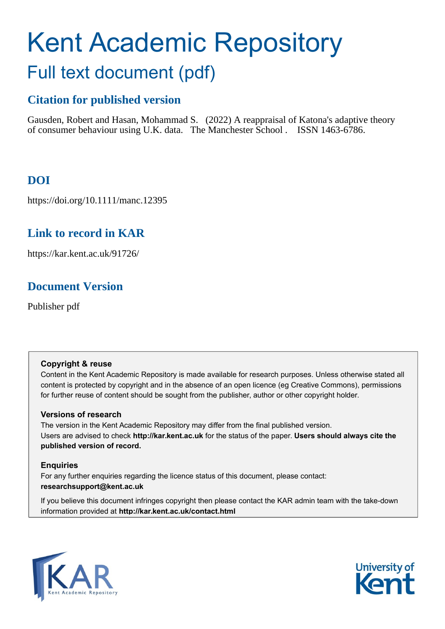# Kent Academic Repository Full text document (pdf)

# **Citation for published version**

Gausden, Robert and Hasan, Mohammad S. (2022) A reappraisal of Katona's adaptive theory of consumer behaviour using U.K. data. The Manchester School . ISSN 1463-6786.

# **DOI**

https://doi.org/10.1111/manc.12395

# **Link to record in KAR**

https://kar.kent.ac.uk/91726/

# **Document Version**

Publisher pdf

#### **Copyright & reuse**

Content in the Kent Academic Repository is made available for research purposes. Unless otherwise stated all content is protected by copyright and in the absence of an open licence (eg Creative Commons), permissions for further reuse of content should be sought from the publisher, author or other copyright holder.

#### **Versions of research**

The version in the Kent Academic Repository may differ from the final published version. Users are advised to check **http://kar.kent.ac.uk** for the status of the paper. **Users should always cite the published version of record.**

#### **Enquiries**

For any further enquiries regarding the licence status of this document, please contact: **researchsupport@kent.ac.uk**

If you believe this document infringes copyright then please contact the KAR admin team with the take-down information provided at **http://kar.kent.ac.uk/contact.html**



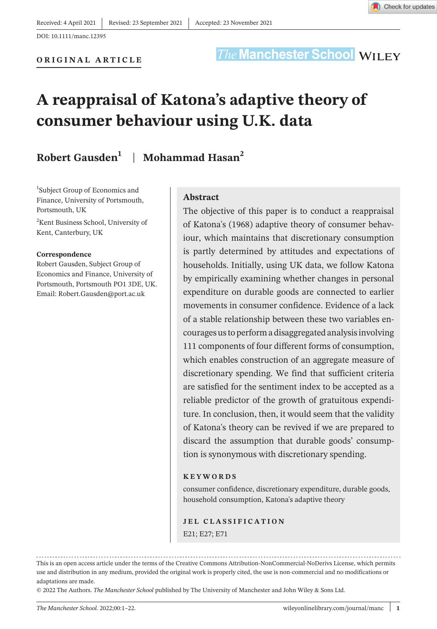

DOI: 10.1111/manc.12395

### **The Manchester School WILEY**

# **A reappraisal of Katona's adaptive theory of consumer behaviour using U.K. data**

#### **Robert Gausden1** | **Mohammad Hasan2**

<sup>1</sup>Subject Group of Economics and Finance, University of Portsmouth, Portsmouth, UK

<sup>2</sup>Kent Business School, University of Kent, Canterbury, UK

#### **Correspondence**

Robert Gausden, Subject Group of Economics and Finance, University of Portsmouth, Portsmouth PO1 3DE, UK. Email: [Robert.Gausden@port.ac.uk](mailto:Robert.Gausden@port.ac.uk)

#### **Abstract**

The objective of this paper is to conduct a reappraisal of Katona's (1968) adaptive theory of consumer behaviour, which maintains that discretionary consumption is partly determined by attitudes and expectations of households. Initially, using UK data, we follow Katona by empirically examining whether changes in personal expenditure on durable goods are connected to earlier movements in consumer confidence. Evidence of a lack of a stable relationship between these two variables encouragesusto performa disaggregated analysisinvolving 111 components of four different forms of consumption, which enables construction of an aggregate measure of discretionary spending. We find that sufficient criteria are satisfied for the sentiment index to be accepted as a reliable predictor of the growth of gratuitous expenditure. In conclusion, then, it would seem that the validity of Katona's theory can be revived if we are prepared to discard the assumption that durable goods' consumption is synonymous with discretionary spending.

#### **KEYWORDS**

consumer confidence, discretionary expenditure, durable goods, household consumption, Katona's adaptive theory

**JEL CLASSIFICATION** E21; E27; E71

This is an open access article under the terms of the Creative Commons [Attribution-NonCommercial-NoDerivs](http://creativecommons.org/licenses/by-nc-nd/4.0/) License, which permits use and distribution in any medium, provided the original work is properly cited, the use is non-commercial and no modifications or adaptations are made.

© 2022 The Authors. *The Manchester School* published by The University of Manchester and John Wiley & Sons Ltd.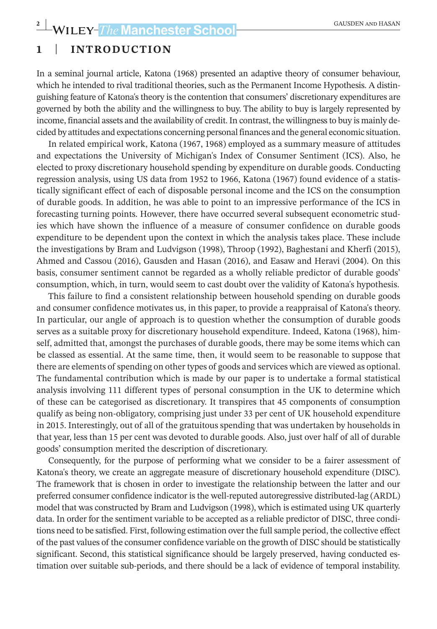#### **1** | **INTRODUCTION**

In a seminal journal article, Katona (1968) presented an adaptive theory of consumer behaviour, which he intended to rival traditional theories, such as the Permanent Income Hypothesis. A distinguishing feature of Katona's theory is the contention that consumers' discretionary expenditures are governed by both the ability and the willingness to buy. The ability to buy is largely represented by income, financial assets and the availability of credit. In contrast, the willingness to buy is mainly decided by attitudes and expectations concerning personal finances and the general economic situation.

In related empirical work, Katona (1967, 1968) employed as a summary measure of attitudes and expectations the University of Michigan's Index of Consumer Sentiment (ICS). Also, he elected to proxy discretionary household spending by expenditure on durable goods. Conducting regression analysis, using US data from 1952 to 1966, Katona (1967) found evidence of a statistically significant effect of each of disposable personal income and the ICS on the consumption of durable goods. In addition, he was able to point to an impressive performance of the ICS in forecasting turning points. However, there have occurred several subsequent econometric studies which have shown the influence of a measure of consumer confidence on durable goods expenditure to be dependent upon the context in which the analysis takes place. These include the investigations by Bram and Ludvigson (1998), Throop (1992), Baghestani and Kherfi (2015), Ahmed and Cassou (2016), Gausden and Hasan (2016), and Easaw and Heravi (2004). On this basis, consumer sentiment cannot be regarded as a wholly reliable predictor of durable goods' consumption, which, in turn, would seem to cast doubt over the validity of Katona's hypothesis.

This failure to find a consistent relationship between household spending on durable goods and consumer confidence motivates us, in this paper, to provide a reappraisal of Katona's theory. In particular, our angle of approach is to question whether the consumption of durable goods serves as a suitable proxy for discretionary household expenditure. Indeed, Katona (1968), himself, admitted that, amongst the purchases of durable goods, there may be some items which can be classed as essential. At the same time, then, it would seem to be reasonable to suppose that there are elements of spending on other types of goods and services which are viewed as optional. The fundamental contribution which is made by our paper is to undertake a formal statistical analysis involving 111 different types of personal consumption in the UK to determine which of these can be categorised as discretionary. It transpires that 45 components of consumption qualify as being non-obligatory, comprising just under 33 per cent of UK household expenditure in 2015. Interestingly, out of all of the gratuitous spending that was undertaken by households in that year, less than 15 per cent was devoted to durable goods. Also, just over half of all of durable goods' consumption merited the description of discretionary.

Consequently, for the purpose of performing what we consider to be a fairer assessment of Katona's theory, we create an aggregate measure of discretionary household expenditure (DISC). The framework that is chosen in order to investigate the relationship between the latter and our preferred consumer confidence indicator is the well-reputed autoregressive distributed-lag (ARDL) model that was constructed by Bram and Ludvigson (1998), which is estimated using UK quarterly data. In order for the sentiment variable to be accepted as a reliable predictor of DISC, three conditions need to be satisfied. First, following estimation overthe fullsample period, the collective effect of the past values of the consumer confidence variable on the growth of DISC should be statistically significant. Second, this statistical significance should be largely preserved, having conducted estimation over suitable sub-periods, and there should be a lack of evidence of temporal instability.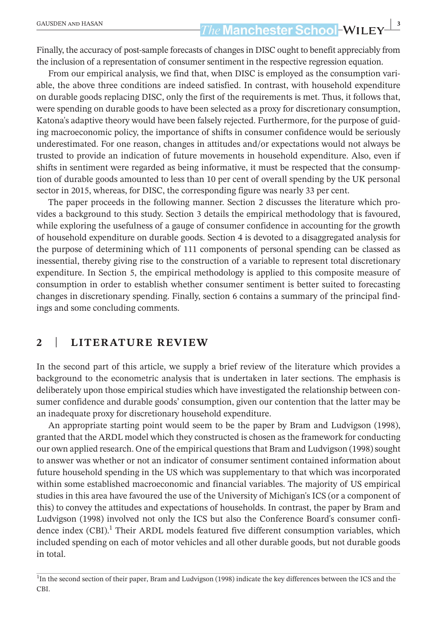## **The Manchester School-WILEY** 3

Finally, the accuracy of post-sample forecasts of changes in DISC ought to benefit appreciably from the inclusion of a representation of consumer sentiment in the respective regression equation.

From our empirical analysis, we find that, when DISC is employed as the consumption variable, the above three conditions are indeed satisfied. In contrast, with household expenditure on durable goods replacing DISC, only the first of the requirements is met. Thus, it follows that, were spending on durable goods to have been selected as a proxy for discretionary consumption, Katona's adaptive theory would have been falsely rejected. Furthermore, for the purpose of guiding macroeconomic policy, the importance of shifts in consumer confidence would be seriously underestimated. For one reason, changes in attitudes and/or expectations would not always be trusted to provide an indication of future movements in household expenditure. Also, even if shifts in sentiment were regarded as being informative, it must be respected that the consumption of durable goods amounted to less than 10 per cent of overall spending by the UK personal sector in 2015, whereas, for DISC, the corresponding figure was nearly 33 per cent.

The paper proceeds in the following manner. Section 2 discusses the literature which provides a background to this study. Section 3 details the empirical methodology that is favoured, while exploring the usefulness of a gauge of consumer confidence in accounting for the growth of household expenditure on durable goods. Section 4 is devoted to a disaggregated analysis for the purpose of determining which of 111 components of personal spending can be classed as inessential, thereby giving rise to the construction of a variable to represent total discretionary expenditure. In Section 5, the empirical methodology is applied to this composite measure of consumption in order to establish whether consumer sentiment is better suited to forecasting changes in discretionary spending. Finally, section 6 contains a summary of the principal findings and some concluding comments.

#### **2** | **LITERATURE REVIEW**

In the second part of this article, we supply a brief review of the literature which provides a background to the econometric analysis that is undertaken in later sections. The emphasis is deliberately upon those empirical studies which have investigated the relationship between consumer confidence and durable goods' consumption, given our contention that the latter may be an inadequate proxy for discretionary household expenditure.

An appropriate starting point would seem to be the paper by Bram and Ludvigson (1998), granted that the ARDL model which they constructed is chosen as the framework for conducting our own applied research. One of the empirical questions that Bram and Ludvigson (1998) sought to answer was whether or not an indicator of consumer sentiment contained information about future household spending in the US which was supplementary to that which was incorporated within some established macroeconomic and financial variables. The majority of US empirical studies in this area have favoured the use of the University of Michigan's ICS (or a component of this) to convey the attitudes and expectations of households. In contrast, the paper by Bram and Ludvigson (1998) involved not only the ICS but also the Conference Board's consumer confidence index  $(CBI)$ .<sup>1</sup> Their ARDL models featured five different consumption variables, which included spending on each of motor vehicles and all other durable goods, but not durable goods in total.

<sup>&</sup>lt;sup>1</sup>In the second section of their paper, Bram and Ludvigson (1998) indicate the key differences between the ICS and the CBI.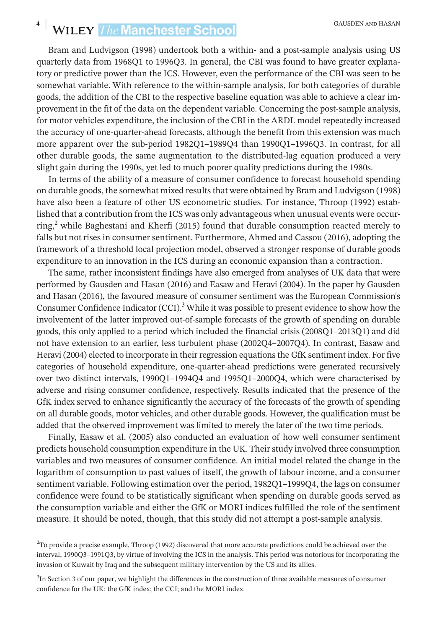# **4** WILEY-*The* Manchester School **CAUSDEN AND HASAN**

Bram and Ludvigson (1998) undertook both a within- and a post-sample analysis using US quarterly data from 1968Q1 to 1996Q3. In general, the CBI was found to have greater explanatory or predictive power than the ICS. However, even the performance of the CBI was seen to be somewhat variable. With reference to the within-sample analysis, for both categories of durable goods, the addition of the CBI to the respective baseline equation was able to achieve a clear improvement in the fit of the data on the dependent variable. Concerning the post-sample analysis, for motor vehicles expenditure, the inclusion of the CBI in the ARDL model repeatedly increased the accuracy of one-quarter-ahead forecasts, although the benefit from this extension was much more apparent over the sub-period 1982Q1–1989Q4 than 1990Q1–1996Q3. In contrast, for all other durable goods, the same augmentation to the distributed-lag equation produced a very slight gain during the 1990s, yet led to much poorer quality predictions during the 1980s.

In terms of the ability of a measure of consumer confidence to forecast household spending on durable goods, the somewhat mixed resultsthat were obtained by Bram and Ludvigson (1998) have also been a feature of other US econometric studies. For instance, Throop (1992) established that a contribution from the ICS was only advantageous when unusual events were occurring,<sup>2</sup> while Baghestani and Kherfi (2015) found that durable consumption reacted merely to falls but not rises in consumer sentiment. Furthermore, Ahmed and Cassou (2016), adopting the framework of a threshold local projection model, observed a stronger response of durable goods expenditure to an innovation in the ICS during an economic expansion than a contraction.

The same, rather inconsistent findings have also emerged from analyses of UK data that were performed by Gausden and Hasan (2016) and Easaw and Heravi (2004). In the paper by Gausden and Hasan (2016), the favoured measure of consumer sentiment was the European Commission's Consumer Confidence Indicator (CCI).<sup>3</sup> While it was possible to present evidence to show how the involvement of the latter improved out-of-sample forecasts of the growth of spending on durable goods, this only applied to a period which included the financial crisis (2008Q1–2013Q1) and did not have extension to an earlier, less turbulent phase (2002Q4–2007Q4). In contrast, Easaw and Heravi (2004) elected to incorporate in their regression equations the GfK sentiment index. For five categories of household expenditure, one-quarter-ahead predictions were generated recursively over two distinct intervals, 1990Q1–1994Q4 and 1995Q1–2000Q4, which were characterised by adverse and rising consumer confidence, respectively. Results indicated that the presence of the GfK index served to enhance significantly the accuracy of the forecasts of the growth of spending on all durable goods, motor vehicles, and other durable goods. However, the qualification must be added that the observed improvement was limited to merely the later of the two time periods.

Finally, Easaw et al. (2005) also conducted an evaluation of how well consumer sentiment predicts household consumption expenditure in the UK. Their study involved three consumption variables and two measures of consumer confidence. An initial model related the change in the logarithm of consumption to past values of itself, the growth of labour income, and a consumer sentiment variable. Following estimation over the period, 1982Q1–1999Q4, the lags on consumer confidence were found to be statistically significant when spending on durable goods served as the consumption variable and either the GfK or MORI indices fulfilled the role of the sentiment measure. It should be noted, though, that this study did not attempt a post-sample analysis.

<sup>&</sup>lt;sup>2</sup>To provide a precise example, Throop (1992) discovered that more accurate predictions could be achieved over the interval, 1990Q3–1991Q3, by virtue of involving the ICS in the analysis. This period was notorious for incorporating the invasion of Kuwait by Iraq and the subsequent military intervention by the US and its allies.

<sup>&</sup>lt;sup>3</sup>In Section 3 of our paper, we highlight the differences in the construction of three available measures of consumer confidence for the UK: the GfK index; the CCI; and the MORI index.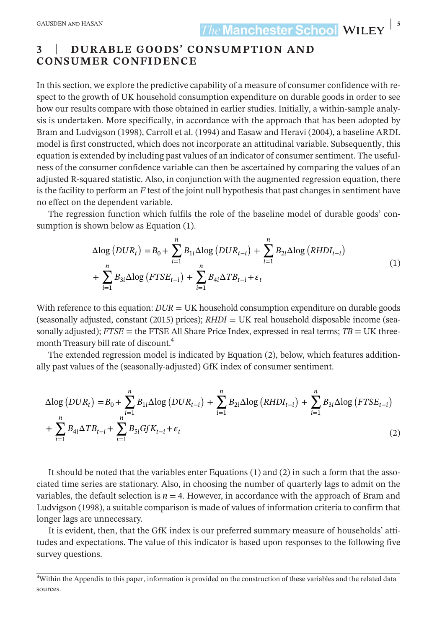#### **3** | **DURABLE GOODS' CONSUMPTION AND CONSUMER CONFIDENCE**

In this section, we explore the predictive capability of a measure of consumer confidence with respect to the growth of UK household consumption expenditure on durable goods in order to see how our results compare with those obtained in earlier studies. Initially, a within-sample analysis is undertaken. More specifically, in accordance with the approach that has been adopted by Bram and Ludvigson (1998), Carroll et al. (1994) and Easaw and Heravi (2004), a baseline ARDL model is first constructed, which does not incorporate an attitudinal variable. Subsequently, this equation is extended by including past values of an indicator of consumer sentiment. The usefulness of the consumer confidence variable can then be ascertained by comparing the values of an adjusted R-squared statistic. Also, in conjunction with the augmented regression equation, there is the facility to perform an *F* test of the joint null hypothesis that past changes in sentiment have no effect on the dependent variable.

The regression function which fulfils the role of the baseline model of durable goods' consumption is shown below as Equation (1).

$$
\Delta \log (DUR_t) = B_0 + \sum_{i=1}^n B_{1i} \Delta \log (DUR_{t-i}) + \sum_{i=1}^n B_{2i} \Delta \log (RHDI_{t-i})
$$
  
+ 
$$
\sum_{i=1}^n B_{3i} \Delta \log (FTSE_{t-i}) + \sum_{i=1}^n B_{4i} \Delta TB_{t-i} + \varepsilon_t
$$
 (1)

With reference to this equation:  $DUR = UK$  household consumption expenditure on durable goods (seasonally adjusted, constant (2015) prices); *RHDI* = UK real household disposable income (seasonally adjusted);  $FTSE$  = the FTSE All Share Price Index, expressed in real terms;  $TB = UK$  threemonth Treasury bill rate of discount.<sup>4</sup>

The extended regression model is indicated by Equation (2), below, which features additionally past values of the (seasonally-adjusted) GfK index of consumer sentiment.

$$
\Delta \log (DUR_t) = B_0 + \sum_{i=1}^n B_{1i} \Delta \log (DUR_{t-i}) + \sum_{i=1}^n B_{2i} \Delta \log (RHDI_{t-i}) + \sum_{i=1}^n B_{3i} \Delta \log (FTSE_{t-i}) + \sum_{i=1}^n B_{4i} \Delta TB_{t-i} + \sum_{i=1}^n B_{5i} GfK_{t-i} + \varepsilon_t
$$
\n(2)

It should be noted that the variables enter Equations (1) and (2) in such a form that the associated time series are stationary. Also, in choosing the number of quarterly lags to admit on the variables, the default selection is  $n = 4$ . However, in accordance with the approach of Bram and Ludvigson (1998), a suitable comparison is made of values of information criteria to confirm that longer lags are unnecessary.

It is evident, then, that the GfK index is our preferred summary measure of households' attitudes and expectations. The value of this indicator is based upon responses to the following five survey questions.

<sup>4</sup> Within the Appendix to this paper, information is provided on the construction of these variables and the related data sources.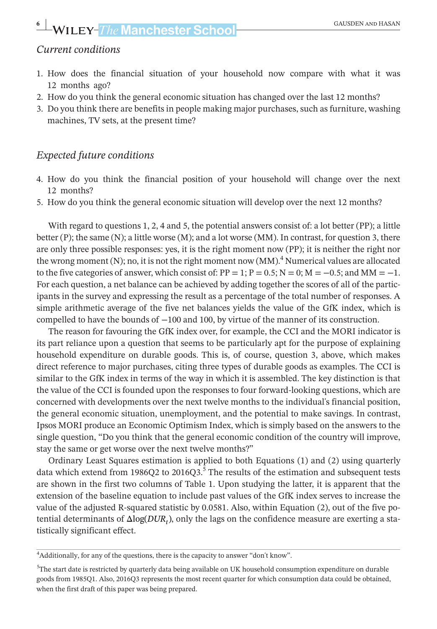#### *Current conditions*

- 1. How does the financial situation of your household now compare with what it was 12 months ago?
- 2. How do you think the general economic situation has changed over the last 12 months?
- 3. Do you think there are benefits in people making major purchases, such as furniture, washing machines, TV sets, at the present time?

#### *Expected future conditions*

- 4. How do you think the financial position of your household will change over the next 12 months?
- 5. How do you think the general economic situation will develop over the next 12 months?

With regard to questions 1, 2, 4 and 5, the potential answers consist of: a lot better (PP); a little better (P); the same (N); a little worse (M); and a lot worse (MM). In contrast, for question 3, there are only three possible responses: yes, it is the right moment now (PP); it is neither the right nor the wrong moment (N); no, it is not the right moment now  $(MM)$ .<sup>4</sup> Numerical values are allocated to the five categories of answer, which consist of:  $PP = 1$ ;  $P = 0.5$ ;  $N = 0$ ;  $M = -0.5$ ; and  $MM = -1$ . For each question, a net balance can be achieved by adding together the scores of all of the participants in the survey and expressing the result as a percentage of the total number of responses. A simple arithmetic average of the five net balances yields the value of the GfK index, which is compelled to have the bounds of −100 and 100, by virtue of the manner of its construction.

The reason for favouring the GfK index over, for example, the CCI and the MORI indicator is its part reliance upon a question that seems to be particularly apt for the purpose of explaining household expenditure on durable goods. This is, of course, question 3, above, which makes direct reference to major purchases, citing three types of durable goods as examples. The CCI is similar to the GfK index in terms of the way in which it is assembled. The key distinction is that the value of the CCI is founded upon the responses to four forward-looking questions, which are concerned with developments over the next twelve months to the individual's financial position, the general economic situation, unemployment, and the potential to make savings. In contrast, Ipsos MORI produce an Economic Optimism Index, which is simply based on the answers to the single question, "Do you think that the general economic condition of the country will improve, stay the same or get worse over the next twelve months?"

Ordinary Least Squares estimation is applied to both Equations (1) and (2) using quarterly data which extend from 1986Q2 to 2016Q3.<sup>5</sup> The results of the estimation and subsequent tests are shown in the first two columns of Table 1. Upon studying the latter, it is apparent that the extension of the baseline equation to include past values of the GfK index serves to increase the value of the adjusted R-squared statistic by 0.0581. Also, within Equation (2), out of the five potential determinants of Δlog(*DURt*), only the lags on the confidence measure are exerting a statistically significant effect.

<sup>4</sup> Additionally, for any of the questions, there is the capacity to answer "don't know".

<sup>5</sup> The start date is restricted by quarterly data being available on UK household consumption expenditure on durable goods from 1985Q1. Also, 2016Q3 represents the most recent quarter for which consumption data could be obtained, when the first draft of this paper was being prepared.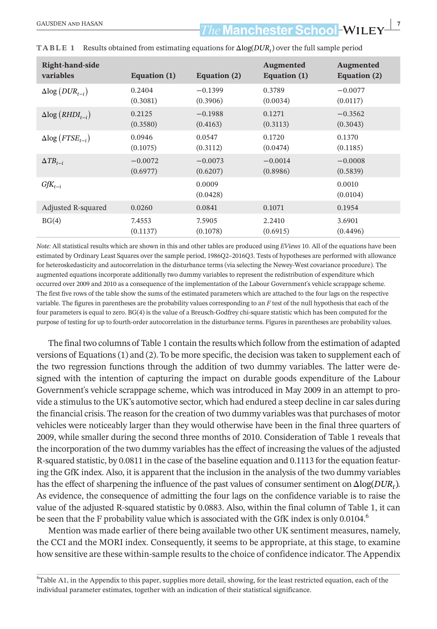### **The Manchester School-WILEY- 7** The Manchester School-WILEY-

| Right-hand-side<br>variables                | Equation (1) | Equation (2)       | <b>Augmented</b><br>Equation (1) | <b>Augmented</b><br>Equation (2) |
|---------------------------------------------|--------------|--------------------|----------------------------------|----------------------------------|
| $\Delta$ log (DUR <sub>t-i</sub> )          | 0.2404       | $-0.1399$          | 0.3789                           | $-0.0077$                        |
|                                             | (0.3081)     | (0.3906)           | (0.0034)                         | (0.0117)                         |
| $\Delta$ log ( <i>RHDI</i> <sub>t-i</sub> ) | 0.2125       | $-0.1988$          | 0.1271                           | $-0.3562$                        |
|                                             | (0.3580)     | (0.4163)           | (0.3113)                         | (0.3043)                         |
| $\Delta$ log ( <i>FTSE<sub>t-i</sub></i> )  | 0.0946       | 0.0547             | 0.1720                           | 0.1370                           |
|                                             | (0.1075)     | (0.3112)           | (0.0474)                         | (0.1185)                         |
| $\Delta TB_{t-i}$                           | $-0.0072$    | $-0.0073$          | $-0.0014$                        | $-0.0008$                        |
|                                             | (0.6977)     | (0.6207)           | (0.8986)                         | (0.5839)                         |
| $GfK_{t-i}$                                 |              | 0.0009<br>(0.0428) |                                  | 0.0010<br>(0.0104)               |
| Adjusted R-squared                          | 0.0260       | 0.0841             | 0.1071                           | 0.1954                           |
| BG(4)                                       | 7.4553       | 7.5905             | 2.2410                           | 3.6901                           |
|                                             | (0.1137)     | (0.1078)           | (0.6915)                         | (0.4496)                         |

**TABLE 1** Results obtained from estimating equations for Δlog(*DURt*) over the full sample period

*Note:* All statistical results which are shown in this and other tables are produced using *EViews* 10. All of the equations have been estimated by Ordinary Least Squares over the sample period, 1986Q2–2016Q3. Tests of hypotheses are performed with allowance for heteroskedasticity and autocorrelation in the disturbance terms (via selecting the Newey-West covariance procedure). The augmented equations incorporate additionally two dummy variables to represent the redistribution of expenditure which occurred over 2009 and 2010 as a consequence of the implementation of the Labour Government's vehicle scrappage scheme. The first five rows of the table show the sums of the estimated parameters which are attached to the four lags on the respective variable. The figures in parentheses are the probability values corresponding to an *F* test of the null hypothesis that each of the four parameters is equal to zero. BG(4) is the value of a Breusch-Godfrey chi-square statistic which has been computed for the purpose of testing for up to fourth-order autocorrelation in the disturbance terms. Figures in parentheses are probability values.

The final two columns of Table 1 contain the results which follow from the estimation of adapted versions of Equations (1) and (2). To be more specific, the decision wastaken to supplement each of the two regression functions through the addition of two dummy variables. The latter were designed with the intention of capturing the impact on durable goods expenditure of the Labour Government's vehicle scrappage scheme, which was introduced in May 2009 in an attempt to provide a stimulus to the UK's automotive sector, which had endured a steep decline in car sales during the financial crisis. The reason forthe creation of two dummy variables wasthat purchases of motor vehicles were noticeably larger than they would otherwise have been in the final three quarters of 2009, while smaller during the second three months of 2010. Consideration of Table 1 reveals that the incorporation of the two dummy variables hasthe effect of increasing the values of the adjusted R-squared statistic, by 0.0811 in the case of the baseline equation and 0.1113 forthe equation featuring the GfK index. Also, it is apparent that the inclusion in the analysis of the two dummy variables has the effect of sharpening the influence of the past values of consumer sentiment onΔlog(*DURt*). As evidence, the consequence of admitting the four lags on the confidence variable is to raise the value of the adjusted R-squared statistic by 0.0883. Also, within the final column of Table 1, it can be seen that the F probability value which is associated with the GfK index is only 0.0104.<sup>6</sup>

Mention was made earlier of there being available two other UK sentiment measures, namely, the CCI and the MORI index. Consequently, it seems to be appropriate, at this stage, to examine how sensitive are these within-sample results to the choice of confidence indicator. The Appendix

6 Table A1, in the Appendix to this paper, supplies more detail, showing, for the least restricted equation, each of the individual parameter estimates, together with an indication of their statistical significance.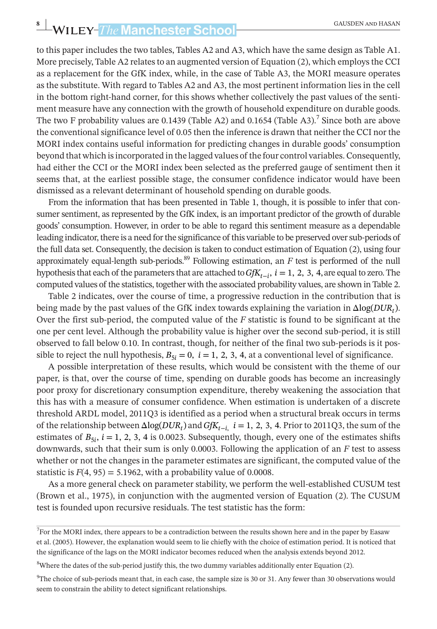# **EXAMPLEY-** The **Manchester School CAUSDEN AND HASAN**

to this paper includes the two tables, Tables A2 and A3, which have the same design as Table A1. More precisely, Table A2 relates to an augmented version of Equation  $(2)$ , which employs the CCI as a replacement for the GfK index, while, in the case of Table A3, the MORI measure operates as the substitute. With regard to Tables A2 and A3, the most pertinent information lies in the cell in the bottom right-hand corner, for this shows whether collectively the past values of the sentiment measure have any connection with the growth of household expenditure on durable goods. The two F probability values are 0.1439 (Table A2) and 0.1654 (Table A3).<sup>7</sup> Since both are above the conventionalsignificance level of 0.05 then the inference is drawn that neither the CCI nor the MORI index contains useful information for predicting changes in durable goods' consumption beyond that which isincorporated in the lagged values of the four control variables.Consequently, had either the CCI or the MORI index been selected as the preferred gauge of sentiment then it seems that, at the earliest possible stage, the consumer confidence indicator would have been dismissed as a relevant determinant of household spending on durable goods.

From the information that has been presented in Table 1, though, it is possible to infer that consumer sentiment, as represented by the GfK index, is an important predictor of the growth of durable goods' consumption. However, in order to be able to regard this sentiment measure as a dependable leading indicator, there is a need forthe significance of this variable to be preserved oversub-periods of the full data set. Consequently, the decision istaken to conduct estimation of Equation (2), using four approximately equal-length sub-periods.<sup>89</sup> Following estimation, an *F* test is performed of the null hypothesisthat each of the parametersthat are attached to*GfKt*<sup>−</sup>*i*, *i* = 1, 2, 3, 4,are equal to zero.The computed values of the statistics, together with the associated probability values, are shown in Table 2.

Table 2 indicates, over the course of time, a progressive reduction in the contribution that is being made by the past values of the GfK index towards explaining the variation in Δlog(*DURt*). Over the first sub-period, the computed value of the *F* statistic is found to be significant at the one per cent level. Although the probability value is higher over the second sub-period, it is still observed to fall below 0.10. In contrast, though, for neither of the final two sub-periods is it possible to reject the null hypothesis,  $B_{5i} = 0$ ,  $i = 1, 2, 3, 4$ , at a conventional level of significance.

A possible interpretation of these results, which would be consistent with the theme of our paper, is that, over the course of time, spending on durable goods has become an increasingly poor proxy for discretionary consumption expenditure, thereby weakening the association that this has with a measure of consumer confidence. When estimation is undertaken of a discrete threshold ARDL model, 2011Q3 is identified as a period when a structural break occurs in terms of the relationship between  $\Delta$ log( $DUR_t$ ) and  $GfK_{t-t}$ ,  $i = 1, 2, 3, 4$ . Prior to 2011Q3, the sum of the estimates of  $B_{5i}$ ,  $i = 1, 2, 3, 4$  is 0.0023. Subsequently, though, every one of the estimates shifts downwards, such that their sum is only 0.0003. Following the application of an *F* test to assess whether or not the changes in the parameter estimates are significant, the computed value of the statistic is  $F(4, 95) = 5.1962$ , with a probability value of 0.0008.

As a more general check on parameter stability, we perform the well-established CUSUM test (Brown et al., 1975), in conjunction with the augmented version of Equation (2). The CUSUM test is founded upon recursive residuals. The test statistic has the form:

<sup>&</sup>lt;sup>7</sup>For the MORI index, there appears to be a contradiction between the results shown here and in the paper by Easaw et al. (2005). However, the explanation would seem to lie chiefly with the choice of estimation period. It is noticed that the significance of the lags on the MORI indicator becomes reduced when the analysis extends beyond 2012.

 $8$ Where the dates of the sub-period justify this, the two dummy variables additionally enter Equation (2).

 $^{9}$ The choice of sub-periods meant that, in each case, the sample size is 30 or 31. Any fewer than 30 observations would seem to constrain the ability to detect significant relationships.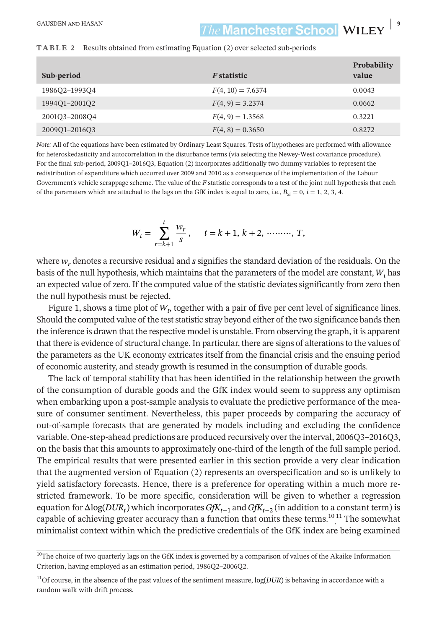### **The Manchester School-WILEY- Property School-WILEY- Property School-WILEY-**

| Sub-period    | <i>F</i> statistic  | Probability<br>value |
|---------------|---------------------|----------------------|
| 1986Q2-1993Q4 | $F(4, 10) = 7.6374$ | 0.0043               |
| 199401-200102 | $F(4, 9) = 3.2374$  | 0.0662               |
| 200103-200804 | $F(4, 9) = 1.3568$  | 0.3221               |
| 200901-201603 | $F(4, 8) = 0.3650$  | 0.8272               |

#### **TABLE 2** Results obtained from estimating Equation (2) over selected sub-periods

*Note:* All of the equations have been estimated by Ordinary Least Squares. Tests of hypotheses are performed with allowance for heteroskedasticity and autocorrelation in the disturbance terms (via selecting the Newey-West covariance procedure). For the final sub-period, 2009Q1–2016Q3, Equation (2) incorporates additionally two dummy variables to represent the redistribution of expenditure which occurred over 2009 and 2010 as a consequence of the implementation of the Labour Government's vehicle scrappage scheme. The value of the *F* statistic corresponds to a test of the joint null hypothesis that each of the parameters which are attached to the lags on the GfK index is equal to zero, i.e.,  $B_{5i} = 0$ ,  $i = 1, 2, 3, 4$ .

$$
W_t = \sum_{r=k+1}^t \frac{w_r}{s}, \quad t = k+1, \, k+2, \, \dots, T,
$$

where  $w_r$  denotes a recursive residual and *s* signifies the standard deviation of the residuals. On the basis of the null hypothesis, which maintains that the parameters of the model are constant,*Wt* has an expected value of zero. If the computed value of the statistic deviatessignificantly from zero then the null hypothesis must be rejected.

Figure 1, shows a time plot of  $W_t$ , together with a pair of five per cent level of significance lines. Should the computed value of the test statistic stray beyond either of the two significance bands then the inference is drawn that the respective model is unstable. From observing the graph, it is apparent that there is evidence of structural change. In particular, there are signs of alterations to the values of the parameters as the UK economy extricates itself from the financial crisis and the ensuing period of economic austerity, and steady growth is resumed in the consumption of durable goods.

The lack of temporal stability that has been identified in the relationship between the growth of the consumption of durable goods and the GfK index would seem to suppress any optimism when embarking upon a post-sample analysis to evaluate the predictive performance of the measure of consumer sentiment. Nevertheless, this paper proceeds by comparing the accuracy of out-of-sample forecasts that are generated by models including and excluding the confidence variable. One-step-ahead predictions are produced recursively overthe interval, 2006Q3–2016Q3, on the basis that this amounts to approximately one-third of the length of the full sample period. The empirical results that were presented earlier in this section provide a very clear indication that the augmented version of Equation (2) represents an overspecification and so is unlikely to yield satisfactory forecasts. Hence, there is a preference for operating within a much more restricted framework. To be more specific, consideration will be given to whether a regression equation for  $\Delta$ log(*DUR<sub>t</sub>*) which incorporates *GfK*<sub>t−1</sub> and *GfK*<sub>t−2</sub> (in addition to a constant term) is capable of achieving greater accuracy than a function that omits these terms. $\frac{10}{11}$  The somewhat minimalist context within which the predictive credentials of the GfK index are being examined

<sup>&</sup>lt;sup>10</sup>The choice of two quarterly lags on the GfK index is governed by a comparison of values of the Akaike Information Criterion, having employed as an estimation period, 1986Q2–2006Q2.

<sup>11</sup>Of course, in the absence of the past values of the sentiment measure, log(*DUR*) is behaving in accordance with a random walk with drift process.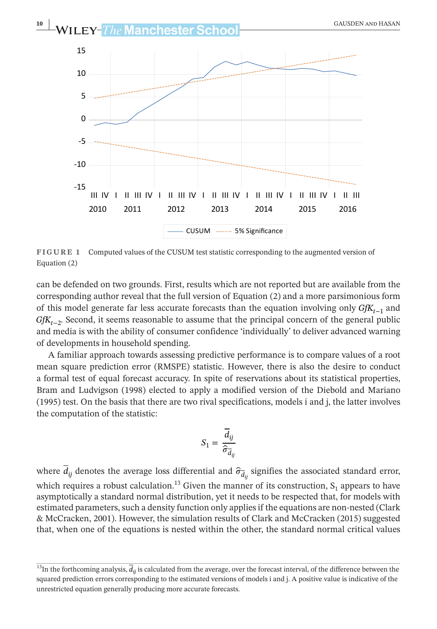

**FIGURE 1** Computed values of the CUSUM test statistic corresponding to the augmented version of Equation (2)

can be defended on two grounds. First, results which are not reported but are available from the corresponding author reveal that the full version of Equation (2) and a more parsimonious form of this model generate far less accurate forecasts than the equation involving only *GfKt*<sup>−</sup><sup>1</sup> and *GfK*<sub>t−2</sub>. Second, it seems reasonable to assume that the principal concern of the general public and media is with the ability of consumer confidence 'individually' to deliver advanced warning of developments in household spending.

A familiar approach towards assessing predictive performance is to compare values of a root mean square prediction error (RMSPE) statistic. However, there is also the desire to conduct a formal test of equal forecast accuracy. In spite of reservations about its statistical properties, Bram and Ludvigson (1998) elected to apply a modified version of the Diebold and Mariano (1995) test. On the basis that there are two rival specifications, models i and j, the latter involves the computation of the statistic:

$$
S_1 = \frac{\overline{d}_{ij}}{\widehat{\sigma}_{\overline{d}_{ij}}}
$$

where  $\overline{d}_{ij}$  denotes the average loss differential and  $\hat{\sigma}_{\overline{d}_{ij}}$  signifies the associated standard error, which requires a robust calculation.<sup>13</sup> Given the manner of its construction,  $S_1$  appears to have asymptotically a standard normal distribution, yet it needs to be respected that, for models with estimated parameters, such a density function only applies if the equations are non-nested (Clark & McCracken, 2001). However, the simulation results of Clark and McCracken (2015) suggested that, when one of the equations is nested within the other, the standard normal critical values

<sup>&</sup>lt;sup>13</sup>In the forthcoming analysis,  $\overline{d}_{ii}$  is calculated from the average, over the forecast interval, of the difference between the squared prediction errors corresponding to the estimated versions of models i and j. A positive value is indicative of the unrestricted equation generally producing more accurate forecasts.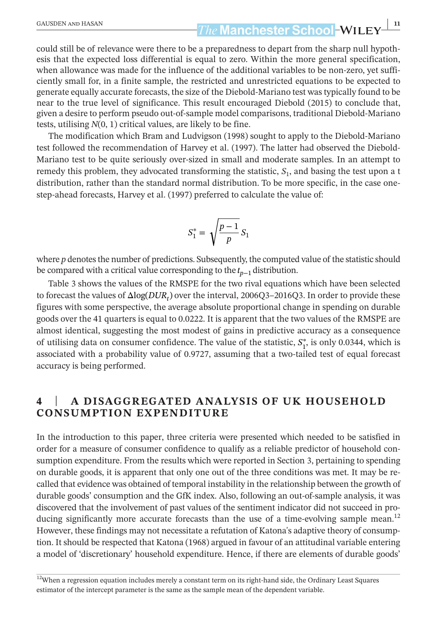# **|** GAUSDEN and HASAN **11**

could still be of relevance were there to be a preparedness to depart from the sharp null hypothesis that the expected loss differential is equal to zero. Within the more general specification, when allowance was made for the influence of the additional variables to be non-zero, yet sufficiently small for, in a finite sample, the restricted and unrestricted equations to be expected to generate equally accurate forecasts, the size of the Diebold-Mariano test wastypically found to be near to the true level of significance. This result encouraged Diebold (2015) to conclude that, given a desire to perform pseudo out-of-sample model comparisons, traditional Diebold-Mariano tests, utilising *N*(0, 1) critical values, are likely to be fine.

The modification which Bram and Ludvigson (1998) sought to apply to the Diebold-Mariano test followed the recommendation of Harvey et al. (1997). The latter had observed the Diebold-Mariano test to be quite seriously over-sized in small and moderate samples. In an attempt to remedy this problem, they advocated transforming the statistic,  $S_1$ , and basing the test upon a t distribution, rather than the standard normal distribution. To be more specific, in the case onestep-ahead forecasts, Harvey et al. (1997) preferred to calculate the value of:

$$
S_1^* = \sqrt{\frac{p-1}{p}} S_1
$$

where *p* denotes the number of predictions. Subsequently, the computed value of the statistic should be compared with a critical value corresponding to the *t*<sub>p−1</sub> distribution.

Table 3 shows the values of the RMSPE for the two rival equations which have been selected to forecast the values of Δlog(*DURt*) over the interval, 2006Q3–2016Q3. In order to provide these figures with some perspective, the average absolute proportional change in spending on durable goods over the 41 quarters is equal to 0.0222. It is apparent that the two values of the RMSPE are almost identical, suggesting the most modest of gains in predictive accuracy as a consequence of utilising data on consumer confidence. The value of the statistic,  $S_1^*$ , is only 0.0344, which is associated with a probability value of 0.9727, assuming that a two-tailed test of equal forecast accuracy is being performed.

#### **4** | **A DISAGGREGATED ANALYSIS OF UK HOUSEHOLD CONSUMPTION EXPENDITURE**

In the introduction to this paper, three criteria were presented which needed to be satisfied in order for a measure of consumer confidence to qualify as a reliable predictor of household consumption expenditure. From the results which were reported in Section 3, pertaining to spending on durable goods, it is apparent that only one out of the three conditions was met. It may be recalled that evidence was obtained of temporal instability in the relationship between the growth of durable goods' consumption and the GfK index. Also, following an out-of-sample analysis, it was discovered that the involvement of past values of the sentiment indicator did not succeed in producing significantly more accurate forecasts than the use of a time-evolving sample mean.<sup>12</sup> However, these findings may not necessitate a refutation of Katona's adaptive theory of consumption. It should be respected that Katona (1968) argued in favour of an attitudinal variable entering a model of 'discretionary' household expenditure. Hence, if there are elements of durable goods'

<sup>&</sup>lt;sup>12</sup>When a regression equation includes merely a constant term on its right-hand side, the Ordinary Least Squares estimator of the intercept parameter is the same as the sample mean of the dependent variable.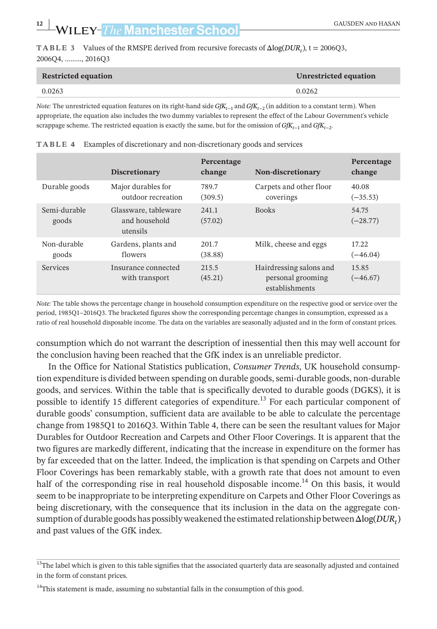**TABLE 3** Values of the RMSPE derived from recursive forecasts of  $\Delta \log(DUR_t)$ , t = 2006Q3, 2006Q4, ………, 2016Q3

| <b>Restricted equation</b> | Unrestricted equation |
|----------------------------|-----------------------|
| 0.0263                     | 0.0262                |

*Note:* The unrestricted equation features on its right-hand side *GfK*<sub>t−1</sub> and *GfK*<sub>t−2</sub> (in addition to a constant term). When appropriate, the equation also includes the two dummy variables to represent the effect of the Labour Government's vehicle scrappage scheme. The restricted equation is exactly the same, but for the omission of *GfK*<sub> $t-1$ </sub> and *GfK*<sub> $t−2$ </sub>.

| TABLE 4 Examples of discretionary and non-discretionary goods and services |  |
|----------------------------------------------------------------------------|--|
|                                                                            |  |

|                       | <b>Discretionary</b>                              | Percentage<br>change | Non-discretionary                                              | Percentage<br>change |
|-----------------------|---------------------------------------------------|----------------------|----------------------------------------------------------------|----------------------|
| Durable goods         | Major durables for<br>outdoor recreation          | 789.7<br>(309.5)     | Carpets and other floor<br>coverings                           | 40.08<br>$(-35.53)$  |
| Semi-durable<br>goods | Glassware, tableware<br>and household<br>utensils | 2.41.1<br>(57.02)    | <b>Books</b>                                                   | 54.75<br>$(-28.77)$  |
| Non-durable<br>goods  | Gardens, plants and<br>flowers                    | 201.7<br>(38.88)     | Milk, cheese and eggs                                          | 17.22<br>$(-46.04)$  |
| <b>Services</b>       | Insurance connected<br>with transport             | 215.5<br>(45.21)     | Hairdressing salons and<br>personal grooming<br>establishments | 15.85<br>$(-46.67)$  |

*Note:* The table shows the percentage change in household consumption expenditure on the respective good or service over the period, 1985Q1–2016Q3. The bracketed figures show the corresponding percentage changes in consumption, expressed as a ratio of real household disposable income. The data on the variables are seasonally adjusted and in the form of constant prices.

consumption which do not warrant the description of inessential then this may well account for the conclusion having been reached that the GfK index is an unreliable predictor.

In the Office for National Statistics publication, *Consumer Trends*, UK household consumption expenditure is divided between spending on durable goods, semi-durable goods, non-durable goods, and services. Within the table that is specifically devoted to durable goods (DGKS), it is possible to identify 15 different categories of expenditure.<sup>13</sup> For each particular component of durable goods' consumption, sufficient data are available to be able to calculate the percentage change from 1985Q1 to 2016Q3. Within Table 4, there can be seen the resultant values for Major Durables for Outdoor Recreation and Carpets and Other Floor Coverings. It is apparent that the two figures are markedly different, indicating that the increase in expenditure on the former has by far exceeded that on the latter. Indeed, the implication is that spending on Carpets and Other Floor Coverings has been remarkably stable, with a growth rate that does not amount to even half of the corresponding rise in real household disposable income.<sup>14</sup> On this basis, it would seem to be inappropriate to be interpreting expenditure on Carpets and Other Floor Coverings as being discretionary, with the consequence that its inclusion in the data on the aggregate consumption of durable goods has possiblyweakened the estimated relationship betweenΔlog(*DURt*) and past values of the GfK index.

<sup>&</sup>lt;sup>13</sup>The label which is given to this table signifies that the associated quarterly data are seasonally adjusted and contained in the form of constant prices.

<sup>&</sup>lt;sup>14</sup>This statement is made, assuming no substantial falls in the consumption of this good.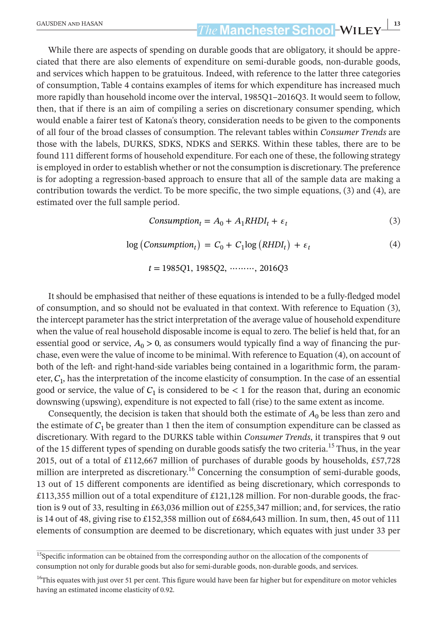# **EAUSDEN AND HASAN 13**<br> **13**<br> **13**<br> **14**<br> **14**<br> **14**<br> **14**<br> **14**<br> **14**<br> **14**<br> **14**<br> **14**<br> **14**<br> **14**<br> **14**<br> **14**<br> **14**<br> **14**<br> **11**<br> **11**<br> **11**

While there are aspects of spending on durable goods that are obligatory, it should be appreciated that there are also elements of expenditure on semi-durable goods, non-durable goods, and services which happen to be gratuitous. Indeed, with reference to the latter three categories of consumption, Table 4 contains examples of items for which expenditure has increased much more rapidly than household income over the interval, 1985Q1–2016Q3. It would seem to follow, then, that if there is an aim of compiling a series on discretionary consumer spending, which would enable a fairer test of Katona's theory, consideration needs to be given to the components of all four of the broad classes of consumption. The relevant tables within *Consumer Trends* are those with the labels, DURKS, SDKS, NDKS and SERKS. Within these tables, there are to be found 111 different forms of household expenditure. For each one of these, the following strategy is employed in order to establish whether or not the consumption is discretionary. The preference is for adopting a regression-based approach to ensure that all of the sample data are making a contribution towards the verdict. To be more specific, the two simple equations, (3) and (4), are estimated over the full sample period.

$$
Consumption_t = A_0 + A_1 R H D I_t + \varepsilon_t \tag{3}
$$

$$
log (Consumptiont) = C0 + C1log (RHDIt) + \varepsilont
$$
\n(4)

*t* = 1985*Q*1, 1985*Q*2, ⋯⋯⋯, 2016*Q*3

It should be emphasised that neither of these equations is intended to be a fully-fledged model of consumption, and so should not be evaluated in that context. With reference to Equation (3), the intercept parameter hasthe strict interpretation of the average value of household expenditure when the value of real household disposable income is equal to zero. The belief is held that, for an essential good or service,  $A_0 > 0$ , as consumers would typically find a way of financing the purchase, even were the value of income to be minimal. With reference to Equation (4), on account of both of the left- and right-hand-side variables being contained in a logarithmic form, the parameter,*C*1, has the interpretation of the income elasticity of consumption. In the case of an essential good or service, the value of  $C_1$  is considered to be  $\lt 1$  for the reason that, during an economic downswing (upswing), expenditure is not expected to fall (rise) to the same extent as income.

Consequently, the decision is taken that should both the estimate of  $A_0$  be less than zero and the estimate of  $C_1$  be greater than 1 then the item of consumption expenditure can be classed as discretionary. With regard to the DURKS table within *Consumer Trends*, it transpires that 9 out of the 15 different types of spending on durable goods satisfy the two criteria.<sup>15</sup> Thus, in the year 2015, out of a total of £112,667 million of purchases of durable goods by households, £57,728 million are interpreted as discretionary.<sup>16</sup> Concerning the consumption of semi-durable goods, 13 out of 15 different components are identified as being discretionary, which corresponds to £113,355 million out of a total expenditure of £121,128 million. For non-durable goods, the fraction is 9 out of 33, resulting in £63,036 million out of £255,347 million; and, for services, the ratio is 14 out of 48, giving rise to £152,358 million out of £684,643 million. In sum, then, 45 out of 111 elements of consumption are deemed to be discretionary, which equates with just under 33 per

<sup>&</sup>lt;sup>15</sup>Specific information can be obtained from the corresponding author on the allocation of the components of consumption not only for durable goods but also for semi-durable goods, non-durable goods, and services.

<sup>&</sup>lt;sup>16</sup>This equates with just over 51 per cent. This figure would have been far higher but for expenditure on motor vehicles having an estimated income elasticity of 0.92.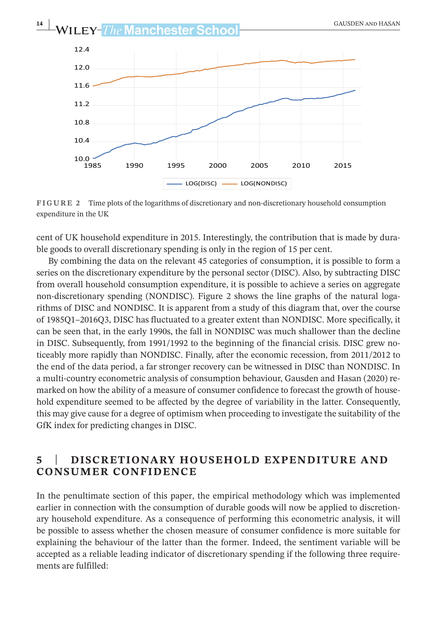

**FIGURE 2** Time plots of the logarithms of discretionary and non-discretionary household consumption expenditure in the UK

cent of UK household expenditure in 2015. Interestingly, the contribution that is made by durable goods to overall discretionary spending is only in the region of 15 per cent.

By combining the data on the relevant 45 categories of consumption, it is possible to form a series on the discretionary expenditure by the personal sector (DISC). Also, by subtracting DISC from overall household consumption expenditure, it is possible to achieve a series on aggregate non-discretionary spending (NONDISC). Figure 2 shows the line graphs of the natural logarithms of DISC and NONDISC. It is apparent from a study of this diagram that, over the course of 1985Q1–2016Q3, DISC has fluctuated to a greater extent than NONDISC. More specifically, it can be seen that, in the early 1990s, the fall in NONDISC was much shallower than the decline in DISC. Subsequently, from 1991/1992 to the beginning of the financial crisis. DISC grew noticeably more rapidly than NONDISC. Finally, after the economic recession, from 2011/2012 to the end of the data period, a far stronger recovery can be witnessed in DISC than NONDISC. In a multi-country econometric analysis of consumption behaviour, Gausden and Hasan (2020) remarked on how the ability of a measure of consumer confidence to forecast the growth of household expenditure seemed to be affected by the degree of variability in the latter. Consequently, this may give cause for a degree of optimism when proceeding to investigate the suitability of the GfK index for predicting changes in DISC.

#### **5** | **DISCRETIONARY HOUSEHOLD EXPENDITURE AND CONSUMER CONFIDENCE**

In the penultimate section of this paper, the empirical methodology which was implemented earlier in connection with the consumption of durable goods will now be applied to discretionary household expenditure. As a consequence of performing this econometric analysis, it will be possible to assess whether the chosen measure of consumer confidence is more suitable for explaining the behaviour of the latter than the former. Indeed, the sentiment variable will be accepted as a reliable leading indicator of discretionary spending if the following three requirements are fulfilled: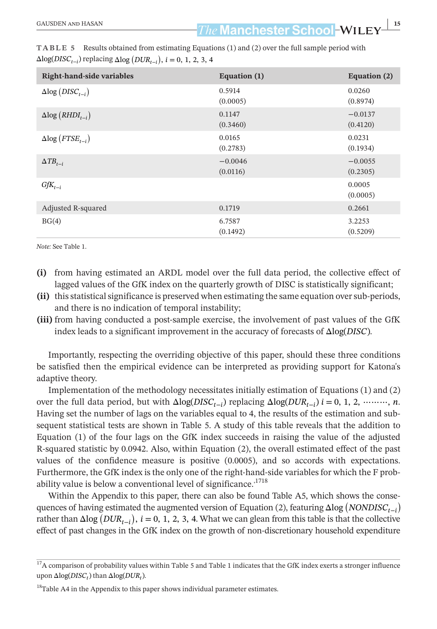| <b>Right-hand-side variables</b>           | Equation (1)          | Equation (2)          |
|--------------------------------------------|-----------------------|-----------------------|
| $\Delta$ log ( <i>DISC<sub>t-i</sub></i> ) | 0.5914<br>(0.0005)    | 0.0260<br>(0.8974)    |
| $\Delta$ log (RHDI <sub>t-i</sub> )        | 0.1147<br>(0.3460)    | $-0.0137$<br>(0.4120) |
| $\Delta$ log ( <i>FTSE<sub>t-i</sub></i> ) | 0.0165<br>(0.2783)    | 0.0231<br>(0.1934)    |
| $\Delta TB_{t-i}$                          | $-0.0046$<br>(0.0116) | $-0.0055$<br>(0.2305) |
| $GfK_{t-i}$                                |                       | 0.0005<br>(0.0005)    |
| Adjusted R-squared                         | 0.1719                | 0.2661                |
| BG(4)                                      | 6.7587<br>(0.1492)    | 3.2253<br>(0.5209)    |

**TABLE 5** Results obtained from estimating Equations (1) and (2) over the full sample period with  $\Delta$ log(*DISC*<sub>*t*−*i*</sub>) replacing  $\Delta$ log (*DUR*<sub>*t*−*i*</sub>), *i* = 0, 1, 2, 3, 4

*Note:* See Table 1.

- **(i)** from having estimated an ARDL model over the full data period, the collective effect of lagged values of the GfK index on the quarterly growth of DISC is statistically significant;
- (ii) this statistical significance is preserved when estimating the same equation over sub-periods, and there is no indication of temporal instability;
- **(iii)** from having conducted a post-sample exercise, the involvement of past values of the GfK index leads to a significant improvement in the accuracy of forecasts of Δlog(*DISC*).

Importantly, respecting the overriding objective of this paper, should these three conditions be satisfied then the empirical evidence can be interpreted as providing support for Katona's adaptive theory.

Implementation of the methodology necessitates initially estimation of Equations (1) and (2) over the full data period, but with  $\Delta \log(DISC_{t-1})$  replacing  $\Delta \log(DUR_{t-1})$  *i* = 0, 1, 2, ………, *n*. Having set the number of lags on the variables equal to 4, the results of the estimation and subsequent statistical tests are shown in Table 5. A study of this table reveals that the addition to Equation (1) of the four lags on the GfK index succeeds in raising the value of the adjusted R-squared statistic by 0.0942. Also, within Equation (2), the overall estimated effect of the past values of the confidence measure is positive (0.0005), and so accords with expectations. Furthermore, the GfK index is the only one of the right-hand-side variables for which the F probability value is below a conventional level of significance.<sup>1718</sup>

Within the Appendix to this paper, there can also be found Table A5, which shows the consequences of having estimated the augmented version of Equation (2), featuring  $\Delta$ log (*NONDISC*<sub>t−*i*</sub>)</sub> rather than  $\Delta$ log ( $DUR_{t-i}$ ), *i* = 0, 1, 2, 3, 4. What we can glean from this table is that the collective effect of past changes in the GfK index on the growth of non-discretionary household expenditure

 $17A$  comparison of probability values within Table 5 and Table 1 indicates that the GfK index exerts a stronger influence upon  $\Delta$ log(*DISC<sub>t</sub>*) than  $\Delta$ log(*DUR<sub>t</sub>*).

 $18$ Table A4 in the Appendix to this paper shows individual parameter estimates.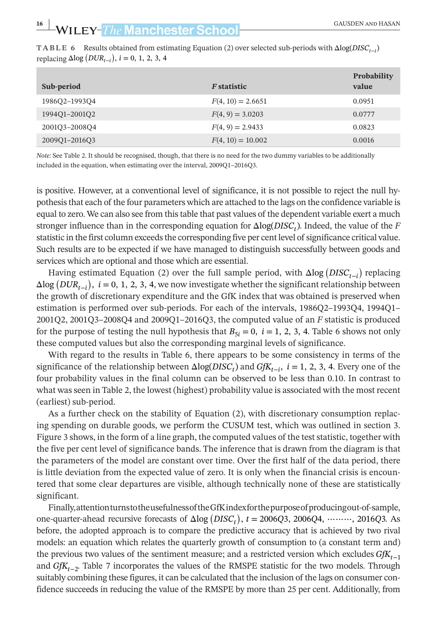| TABLE 6 Results obtained from estimating Equation (2) over selected sub-periods with $\Delta log(DISC_{t-i})$ |
|---------------------------------------------------------------------------------------------------------------|
| replacing $\Delta$ log $(DUR_{t-i})$ , $i = 0, 1, 2, 3, 4$                                                    |

| Sub-period    | <i>F</i> statistic  | <b>Probability</b><br>value |
|---------------|---------------------|-----------------------------|
| 1986O2-1993O4 | $F(4, 10) = 2.6651$ | 0.0951                      |
| 199401-200102 | $F(4, 9) = 3.0203$  | 0.0777                      |
| 200103-200804 | $F(4, 9) = 2.9433$  | 0.0823                      |
| 200901-201603 | $F(4, 10) = 10.002$ | 0.0016                      |

*Note:* See Table 2. It should be recognised, though, that there is no need for the two dummy variables to be additionally included in the equation, when estimating over the interval, 2009Q1–2016Q3.

is positive. However, at a conventional level of significance, it is not possible to reject the null hypothesisthat each of the four parameters which are attached to the lags on the confidence variable is equal to zero. We can also see from thistable that past values of the dependent variable exert a much stronger influence than in the corresponding equation for Δlog(*DISCt*). Indeed, the value of the *F* statistic in the first column exceeds the corresponding five per cent level of significance critical value. Such results are to be expected if we have managed to distinguish successfully between goods and services which are optional and those which are essential.

Having estimated Equation (2) over the full sample period, with  $\Delta$ log (*DISC*<sub>*t*−*i*</sub>) replacing  $\Delta$ log ( $DUR_{t-1}$ ), *i* = 0, 1, 2, 3, 4, we now investigate whether the significant relationship between the growth of discretionary expenditure and the GfK index that was obtained is preserved when estimation is performed over sub-periods. For each of the intervals, 1986Q2–1993Q4, 1994Q1– 2001Q2, 2001Q3–2008Q4 and 2009Q1–2016Q3, the computed value of an *F* statistic is produced for the purpose of testing the null hypothesis that  $B_{5i} = 0$ ,  $i = 1, 2, 3, 4$ . Table 6 shows not only these computed values but also the corresponding marginal levels of significance.

With regard to the results in Table 6, there appears to be some consistency in terms of the significance of the relationship between  $\Delta \log(DISC_t)$  and  $G/K_{t-1}$ , *i* = 1, 2, 3, 4. Every one of the four probability values in the final column can be observed to be less than 0.10. In contrast to what wasseen in Table 2, the lowest (highest) probability value is associated with the most recent (earliest) sub-period.

As a further check on the stability of Equation (2), with discretionary consumption replacing spending on durable goods, we perform the CUSUM test, which was outlined in section 3. Figure 3 shows, in the form of a line graph, the computed values of the test statistic, together with the five per cent level of significance bands. The inference that is drawn from the diagram is that the parameters of the model are constant over time. Over the first half of the data period, there is little deviation from the expected value of zero. It is only when the financial crisis is encountered that some clear departures are visible, although technically none of these are statistically significant.

Finally,attentionturnstotheusefulnessoftheGfKindexforthepurposeofproducingout-of-sample, one-quarter-ahead recursive forecasts of  $Δlog(DISC_t)$ ,  $t = 2006Q3, 2006Q4, ……$ , 2016Q3. As before, the adopted approach is to compare the predictive accuracy that is achieved by two rival models: an equation which relates the quarterly growth of consumption to (a constant term and) the previous two values of the sentiment measure; and a restricted version which excludes *GfKt*<sup>−</sup><sup>1</sup> and *GfK*<sub>t−2</sub>. Table 7 incorporates the values of the RMSPE statistic for the two models. Through suitably combining these figures, it can be calculated that the inclusion of the lags on consumer confidence succeeds in reducing the value of the RMSPE by more than 25 per cent. Additionally, from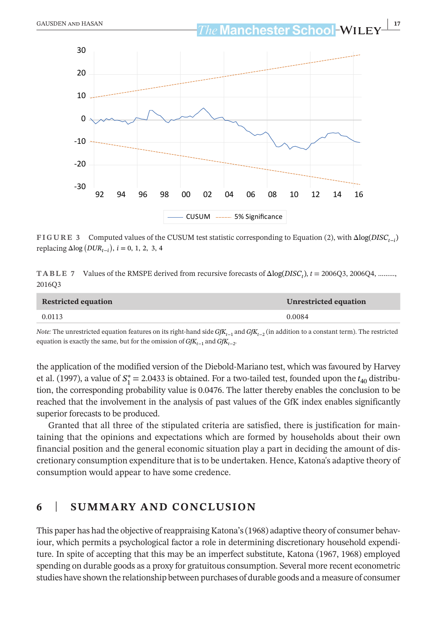**GAUSDEN AND HASAN 17***he* **Manchester School-WILE** 



**FIGURE 3** Computed values of the CUSUM test statistic corresponding to Equation (2), with Δlog(*DISCt*<sup>−</sup>*i*)  $replacing Δlog(DUR<sub>t−i</sub>), i = 0, 1, 2, 3, 4$ 

**TABLE 7** Values of the RMSPE derived from recursive forecasts of Δlog(*DISCt*), *t* = 2006Q3, 2006Q4, ………, 2016Q3

| <b>Restricted equation</b> | Unrestricted equation |
|----------------------------|-----------------------|
| 0.0113                     | 0.0084                |

*Note:* The unrestricted equation features on its right-hand side *GfK*<sub>*t*−1</sub> and *GfK*<sub>*t*−2</sub> (in addition to a constant term). The restricted equation is exactly the same, but for the omission of *GfK*<sub>t−1</sub> and *GfK*<sub>t−2</sub>.

the application of the modified version of the Diebold-Mariano test, which was favoured by Harvey et al. (1997), a value of  $S_1^* = 2.0433$  is obtained. For a two-tailed test, founded upon the  $t_{40}$  distribution, the corresponding probability value is 0.0476. The latter thereby enables the conclusion to be reached that the involvement in the analysis of past values of the GfK index enables significantly superior forecasts to be produced.

Granted that all three of the stipulated criteria are satisfied, there is justification for maintaining that the opinions and expectations which are formed by households about their own financial position and the general economic situation play a part in deciding the amount of discretionary consumption expenditure that isto be undertaken. Hence, Katona's adaptive theory of consumption would appear to have some credence.

#### **6** | **SUMMARY AND CONCLUSION**

This paper has had the objective ofreappraising Katona's(1968) adaptive theory of consumer behaviour, which permits a psychological factor a role in determining discretionary household expenditure. In spite of accepting that this may be an imperfect substitute, Katona (1967, 1968) employed spending on durable goods as a proxy for gratuitous consumption. Several more recent econometric studies have shown the relationship between purchases of durable goods and a measure of consumer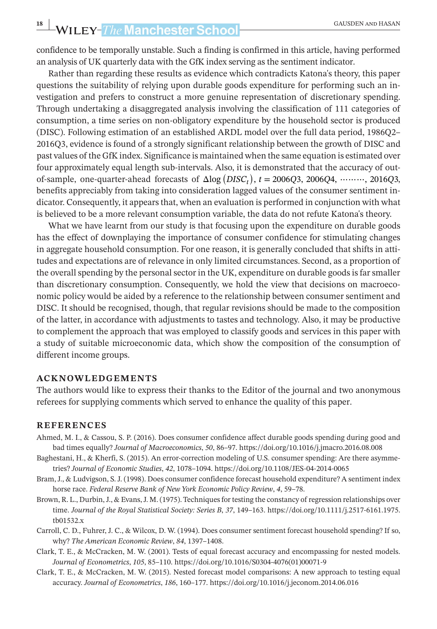# **18** WILEY-The Manchester School **CAUSDEN AND HASAN**

confidence to be temporally unstable. Such a finding is confirmed in this article, having performed an analysis of UK quarterly data with the GfK index serving as the sentiment indicator.

Rather than regarding these results as evidence which contradicts Katona's theory, this paper questions the suitability of relying upon durable goods expenditure for performing such an investigation and prefers to construct a more genuine representation of discretionary spending. Through undertaking a disaggregated analysis involving the classification of 111 categories of consumption, a time series on non-obligatory expenditure by the household sector is produced (DISC). Following estimation of an established ARDL model over the full data period, 1986Q2– 2016Q3, evidence is found of a strongly significant relationship between the growth of DISC and past values of the GfK index. Significance is maintained when the same equation is estimated over four approximately equal length sub-intervals. Also, it is demonstrated that the accuracy of outof-sample, one-quarter-ahead forecasts of Δlog ( *DISCt* ) , *t* = 2006*Q*3, 2006*Q*4, ⋯⋯⋯, 2016*Q*3, benefits appreciably from taking into consideration lagged values of the consumer sentiment indicator. Consequently, it appears that, when an evaluation is performed in conjunction with what is believed to be a more relevant consumption variable, the data do not refute Katona's theory.

What we have learnt from our study is that focusing upon the expenditure on durable goods has the effect of downplaying the importance of consumer confidence for stimulating changes in aggregate household consumption. For one reason, it is generally concluded that shifts in attitudes and expectations are of relevance in only limited circumstances. Second, as a proportion of the overall spending by the personal sector in the UK, expenditure on durable goods is far smaller than discretionary consumption. Consequently, we hold the view that decisions on macroeconomic policy would be aided by a reference to the relationship between consumer sentiment and DISC. It should be recognised, though, that regular revisions should be made to the composition of the latter, in accordance with adjustments to tastes and technology. Also, it may be productive to complement the approach that was employed to classify goods and services in this paper with a study of suitable microeconomic data, which show the composition of the consumption of different income groups.

#### **ACKNOWLEDGEMENTS**

The authors would like to express their thanks to the Editor of the journal and two anonymous referees for supplying comments which served to enhance the quality of this paper.

#### **REFERENCES**

- Ahmed, M. I., & Cassou, S. P. (2016). Does consumer confidence affect durable goods spending during good and bad times equally? *Journal of Macroeconomics*, *50*, 86–97. <https://doi.org/10.1016/j.jmacro.2016.08.008>
- Baghestani, H., & Kherfi, S. (2015). An error-correction modeling of U.S. consumer spending: Are there asymmetries? *Journal of Economic Studies*, *42*, 1078–1094. <https://doi.org/10.1108/JES-04-2014-0065>
- Bram, J., & Ludvigson, S. J. (1998). Does consumer confidence forecast household expenditure? A sentiment index horse race. *Federal Reserve Bank of New York Economic Policy Review*, *4*, 59–78.
- Brown, R. L., Durbin, J., & Evans, J. M. (1975). Techniques for testing the constancy of regression relationships over time. *Journal of the Royal Statistical Society: Series B*, *37*, 149–163. [https://doi.org/10.1111/j.2517-6161.1975.](https://doi.org/10.1111/j.2517-6161.1975.tb01532.x) [tb01532.x](https://doi.org/10.1111/j.2517-6161.1975.tb01532.x)
- Carroll, C. D., Fuhrer, J. C., & Wilcox, D. W. (1994). Does consumer sentiment forecast household spending? If so, why? *The American Economic Review*, *84*, 1397–1408.
- Clark, T. E., & McCracken, M. W. (2001). Tests of equal forecast accuracy and encompassing for nested models. *Journal of Econometrics*, *105*, 85–110. [https://doi.org/10.1016/S0304-4076\(01\)00071-9](https://doi.org/10.1016/S0304-4076(01)00071-9)
- Clark, T. E., & McCracken, M. W. (2015). Nested forecast model comparisons: A new approach to testing equal accuracy. *Journal of Econometrics*, *186*, 160–177. <https://doi.org/10.1016/j.jeconom.2014.06.016>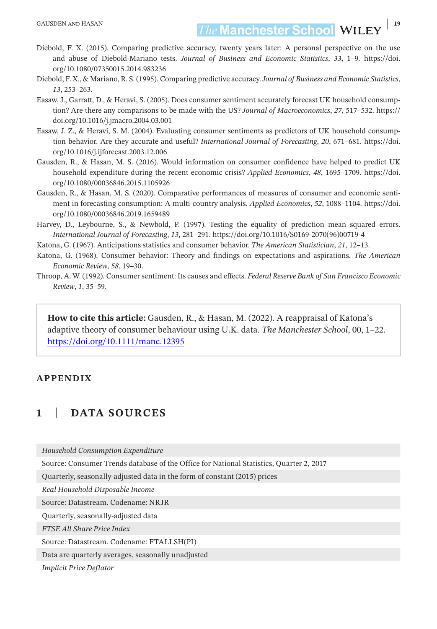- Diebold, F. X. (2015). Comparing predictive accuracy, twenty years later: A personal perspective on the use and abuse of Diebold-Mariano tests. *Journal of Business and Economic Statistics*, *33*, 1–9. [https://doi.](https://doi.org/10.1080/07350015.2014.983236) [org/10.1080/07350015.2014.983236](https://doi.org/10.1080/07350015.2014.983236)
- Diebold, F. X., & Mariano, R. S. (1995). Comparing predictive accuracy.*Journal of Business and Economic Statistics*, *13*, 253–263.
- Easaw, J., Garratt, D., & Heravi, S. (2005). Does consumer sentiment accurately forecast UK household consumption? Are there any comparisons to be made with the US? *Journal of Macroeconomics*, *27*, 517–532. [https://](https://doi.org/10.1016/j.jmacro.2004.03.001) [doi.org/10.1016/j.jmacro.2004.03.001](https://doi.org/10.1016/j.jmacro.2004.03.001)
- Easaw, J. Z., & Heravi, S. M. (2004). Evaluating consumer sentiments as predictors of UK household consumption behavior. Are they accurate and useful? *International Journal of Forecasting*, *20*, 671–681. [https://doi.](https://doi.org/10.1016/j.ijforecast.2003.12.006) [org/10.1016/j.ijforecast.2003.12.006](https://doi.org/10.1016/j.ijforecast.2003.12.006)
- Gausden, R., & Hasan, M. S. (2016). Would information on consumer confidence have helped to predict UK household expenditure during the recent economic crisis? *Applied Economics*, *48*, 1695–1709. [https://doi.](https://doi.org/10.1080/00036846.2015.1105926) [org/10.1080/00036846.2015.1105926](https://doi.org/10.1080/00036846.2015.1105926)
- Gausden, R., & Hasan, M. S. (2020). Comparative performances of measures of consumer and economic sentiment in forecasting consumption: A multi-country analysis. *Applied Economics*, *52*, 1088–1104. [https://doi.](https://doi.org/10.1080/00036846.2019.1659489) [org/10.1080/00036846.2019.1659489](https://doi.org/10.1080/00036846.2019.1659489)
- Harvey, D., Leybourne, S., & Newbold, P. (1997). Testing the equality of prediction mean squared errors. *International Journal of Forecasting*, *13*, 281–291. [https://doi.org/10.1016/S0169-2070\(96\)00719-4](https://doi.org/10.1016/S0169-2070(96)00719-4)
- Katona, G. (1967). Anticipations statistics and consumer behavior. *The American Statistician*, *21*, 12–13.
- Katona, G. (1968). Consumer behavior: Theory and findings on expectations and aspirations. *The American Economic Review*, *58*, 19–30.
- Throop, A. W. (1992). Consumer sentiment: Its causes and effects. *Federal Reserve Bank of San Francisco Economic Review*, *1*, 35–59.

**How to cite this article:** Gausden, R., & Hasan, M. (2022). A reappraisal of Katona's adaptive theory of consumer behaviour using U.K. data. *The Manchester School*, 00, 1–22. <https://doi.org/10.1111/manc.12395>

#### **APPENDIX**

#### **1** | **DATA SOURCES**

*Household Consumption Expenditure*

Source: Consumer Trends database of the Office for National Statistics, Quarter 2, 2017

Quarterly, seasonally-adjusted data in the form of constant (2015) prices

*Real Household Disposable Income*

Source: Datastream. Codename: NRJR

Quarterly, seasonally-adjusted data

*FTSE All Share Price Index*

Source: Datastream. Codename: FTALLSH(PI)

Data are quarterly averages, seasonally unadjusted

*Implicit Price Deflator*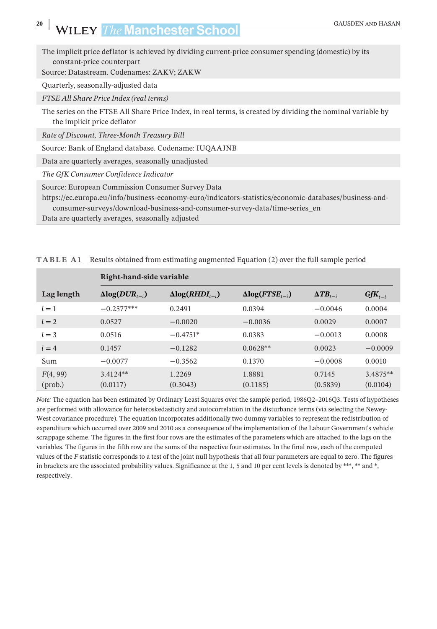The implicit price deflator is achieved by dividing current-price consumer spending (domestic) by its constant-price counterpart

Source: Datastream. Codenames: ZAKV; ZAKW

Quarterly, seasonally-adjusted data

*FTSE All Share Price Index (real terms)*

The series on the FTSE All Share Price Index, in real terms, is created by dividing the nominal variable by the implicit price deflator

*Rate of Discount, Three-Month Treasury Bill*

Source: Bank of England database. Codename: IUQAAJNB

Data are quarterly averages, seasonally unadjusted

*The GfK Consumer Confidence Indicator*

Source: European Commission Consumer Survey Data

[https://ec.europa.eu/info/business-economy-euro/indicators-statistics/economic-databases/business-and](https://ec.europa.eu/info/business-economy-euro/indicators-statistics/economic-databases/business-and-consumer-surveys/download-business-and-consumer-survey-data/time-series_en)[consumer-surveys/download-business-and-consumer-survey-data/time-series\\_en](https://ec.europa.eu/info/business-economy-euro/indicators-statistics/economic-databases/business-and-consumer-surveys/download-business-and-consumer-survey-data/time-series_en)

Data are quarterly averages, seasonally adjusted

|            | Right-hand-side variable |                          |                          |                    |             |
|------------|--------------------------|--------------------------|--------------------------|--------------------|-------------|
| Lag length | $\Delta log(DUR_{t-i})$  | $\Delta log(RHDI_{t-i})$ | $\Delta log(FTSE_{t-i})$ | $\Delta T B_{t-i}$ | $GfK_{t-i}$ |
| $i=1$      | $-0.2577***$             | 0.2491                   | 0.0394                   | $-0.0046$          | 0.0004      |
| $i=2$      | 0.0527                   | $-0.0020$                | $-0.0036$                | 0.0029             | 0.0007      |
| $i=3$      | 0.0516                   | $-0.4751*$               | 0.0383                   | $-0.0013$          | 0.0008      |
| $i = 4$    | 0.1457                   | $-0.1282$                | $0.0628**$               | 0.0023             | $-0.0009$   |
| Sum        | $-0.0077$                | $-0.3562$                | 0.1370                   | $-0.0008$          | 0.0010      |
| F(4, 99)   | $3.4124**$               | 1.2269                   | 1.8881                   | 0.7145             | 3.4875**    |
| (prob.)    | (0.0117)                 | (0.3043)                 | (0.1185)                 | (0.5839)           | (0.0104)    |

**TABLE A1** Results obtained from estimating augmented Equation (2) over the full sample period

*Note:* The equation has been estimated by Ordinary Least Squares over the sample period, 1986Q2–2016Q3. Tests of hypotheses are performed with allowance for heteroskedasticity and autocorrelation in the disturbance terms (via selecting the Newey-West covariance procedure). The equation incorporates additionally two dummy variables to represent the redistribution of expenditure which occurred over 2009 and 2010 as a consequence of the implementation of the Labour Government's vehicle scrappage scheme. The figures in the first four rows are the estimates of the parameters which are attached to the lags on the variables. The figures in the fifth row are the sums of the respective four estimates. In the final row, each of the computed values of the *F* statistic corresponds to a test of the joint null hypothesis that all four parameters are equal to zero. The figures in brackets are the associated probability values. Significance at the 1, 5 and 10 per cent levels is denoted by \*\*\*, \*\* and \*, respectively.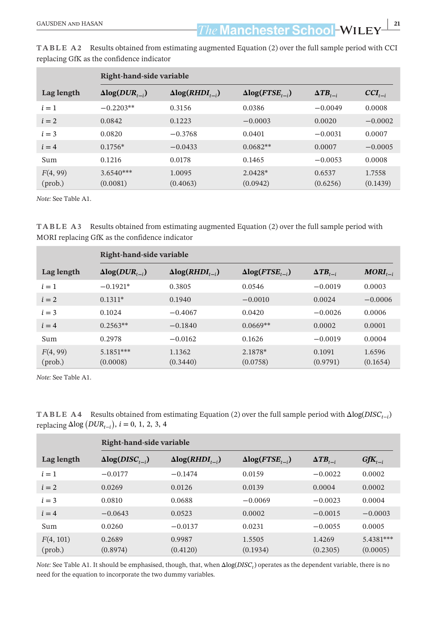**EAUSDEN AND HASAN 21**<br> **121**<br> **21**<br> **21**<br> **21**<br> **21**<br> **21**<br> **21** 

|                     | Right-hand-side variable |                          |                          |                    |                    |
|---------------------|--------------------------|--------------------------|--------------------------|--------------------|--------------------|
| Lag length          | $\Delta log(DUR_{t-i})$  | $\Delta log(RHDI_{t-i})$ | $\Delta log(FTSE_{t-i})$ | $\Delta T B_{t-i}$ | $CCI_{t-i}$        |
| $i=1$               | $-0.2203**$              | 0.3156                   | 0.0386                   | $-0.0049$          | 0.0008             |
| $i=2$               | 0.0842                   | 0.1223                   | $-0.0003$                | 0.0020             | $-0.0002$          |
| $i=3$               | 0.0820                   | $-0.3768$                | 0.0401                   | $-0.0031$          | 0.0007             |
| $i=4$               | $0.1756*$                | $-0.0433$                | $0.0682**$               | 0.0007             | $-0.0005$          |
| Sum                 | 0.1216                   | 0.0178                   | 0.1465                   | $-0.0053$          | 0.0008             |
| F(4, 99)<br>(prob.) | $3.6540***$<br>(0.0081)  | 1.0095<br>(0.4063)       | $2.0428*$<br>(0.0942)    | 0.6537<br>(0.6256) | 1.7558<br>(0.1439) |

**TABLE A2** Results obtained from estimating augmented Equation (2) over the full sample period with CCI replacing GfK as the confidence indicator

*Note:* See Table A1.

**TABLE A3** Results obtained from estimating augmented Equation (2) over the full sample period with MORI replacing GfK as the confidence indicator

|                     | Right-hand-side variable |                          |                          |                    |                    |
|---------------------|--------------------------|--------------------------|--------------------------|--------------------|--------------------|
| Lag length          | $\Delta log(DUR_{t-i})$  | $\Delta log(RHDI_{t-i})$ | $\Delta log(FTSE_{t-i})$ | $\Delta T B_{t-i}$ | $MORI_{t-i}$       |
| $i=1$               | $-0.1921*$               | 0.3805                   | 0.0546                   | $-0.0019$          | 0.0003             |
| $i=2$               | $0.1311*$                | 0.1940                   | $-0.0010$                | 0.0024             | $-0.0006$          |
| $i=3$               | 0.1024                   | $-0.4067$                | 0.0420                   | $-0.0026$          | 0.0006             |
| $i = 4$             | $0.2563**$               | $-0.1840$                | $0.0669**$               | 0.0002             | 0.0001             |
| Sum                 | 0.2978                   | $-0.0162$                | 0.1626                   | $-0.0019$          | 0.0004             |
| F(4, 99)<br>(prob.) | $5.1851***$<br>(0.0008)  | 1.1362<br>(0.3440)       | 2.1878*<br>(0.0758)      | 0.1091<br>(0.9791) | 1.6596<br>(0.1654) |

*Note:* See Table A1.

**TABLE A4** Results obtained from estimating Equation (2) over the full sample period with Δlog(*DISC*<sub>*i*−*i*</sub>) replacing Δlog (*DUR*<sub>*t−i*</sub>), *i* = 0, 1, 2, 3, 4

|                               | Right-hand-side variable |                          |                          |                    |                       |  |  |
|-------------------------------|--------------------------|--------------------------|--------------------------|--------------------|-----------------------|--|--|
| Lag length                    | $\Delta log(DISC_{t-i})$ | $\Delta log(RHDI_{t-i})$ | $\Delta log(FTSE_{t-i})$ | $\Delta T B_{t-i}$ | $GfK_{t-i}$           |  |  |
| $i=1$                         | $-0.0177$                | $-0.1474$                | 0.0159                   | $-0.0022$          | 0.0002                |  |  |
| $i=2$                         | 0.0269                   | 0.0126                   | 0.0139                   | 0.0004             | 0.0002                |  |  |
| $i = 3$                       | 0.0810                   | 0.0688                   | $-0.0069$                | $-0.0023$          | 0.0004                |  |  |
| $i=4$                         | $-0.0643$                | 0.0523                   | 0.0002                   | $-0.0015$          | $-0.0003$             |  |  |
| Sum                           | 0.0260                   | $-0.0137$                | 0.0231                   | $-0.0055$          | 0.0005                |  |  |
| F(4, 101)<br>$(\text{prob.})$ | 0.2689<br>(0.8974)       | 0.9987<br>(0.4120)       | 1.5505<br>(0.1934)       | 1.4269<br>(0.2305) | 5.4381***<br>(0.0005) |  |  |

*Note:* See Table A1. It should be emphasised, though, that, when Δlog(*DISC<sub>t</sub>*) operates as the dependent variable, there is no need for the equation to incorporate the two dummy variables.